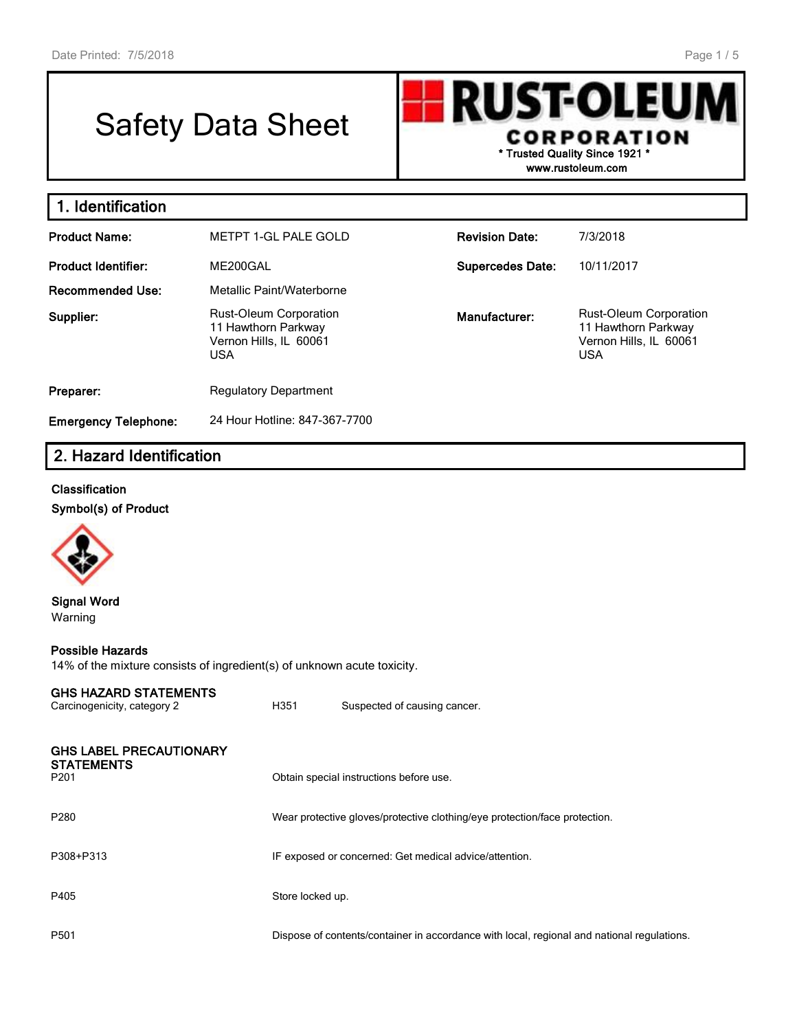# Safety Data Sheet

**RUST-OLEU CORPORATION \* Trusted Quality Since 1921 \***

**www.rustoleum.com**

| 1. Identification           |                                                                                              |                         |                                                                                       |
|-----------------------------|----------------------------------------------------------------------------------------------|-------------------------|---------------------------------------------------------------------------------------|
| <b>Product Name:</b>        | METPT 1-GL PALE GOLD                                                                         | <b>Revision Date:</b>   | 7/3/2018                                                                              |
| <b>Product Identifier:</b>  | ME200GAL                                                                                     | <b>Supercedes Date:</b> | 10/11/2017                                                                            |
| <b>Recommended Use:</b>     | Metallic Paint/Waterborne                                                                    |                         |                                                                                       |
| Supplier:                   | <b>Rust-Oleum Corporation</b><br>11 Hawthorn Parkway<br>Vernon Hills, IL 60061<br><b>USA</b> | Manufacturer:           | Rust-Oleum Corporation<br>11 Hawthorn Parkway<br>Vernon Hills, IL 60061<br><b>USA</b> |
| Preparer:                   | <b>Regulatory Department</b>                                                                 |                         |                                                                                       |
| <b>Emergency Telephone:</b> | 24 Hour Hotline: 847-367-7700                                                                |                         |                                                                                       |

# **2. Hazard Identification**

### **Classification**

**Symbol(s) of Product**



#### **Signal Word** Warning

#### **Possible Hazards**

14% of the mixture consists of ingredient(s) of unknown acute toxicity.

#### **GHS HAZARD STATEMENTS**

| Carcinogenicity, category 2                                             | H351             | Suspected of causing cancer.                                                               |
|-------------------------------------------------------------------------|------------------|--------------------------------------------------------------------------------------------|
| <b>GHS LABEL PRECAUTIONARY</b><br><b>STATEMENTS</b><br>P <sub>201</sub> |                  | Obtain special instructions before use.                                                    |
| P280                                                                    |                  | Wear protective gloves/protective clothing/eye protection/face protection.                 |
| P308+P313                                                               |                  | IF exposed or concerned: Get medical advice/attention.                                     |
| P405                                                                    | Store locked up. |                                                                                            |
| P <sub>501</sub>                                                        |                  | Dispose of contents/container in accordance with local, regional and national regulations. |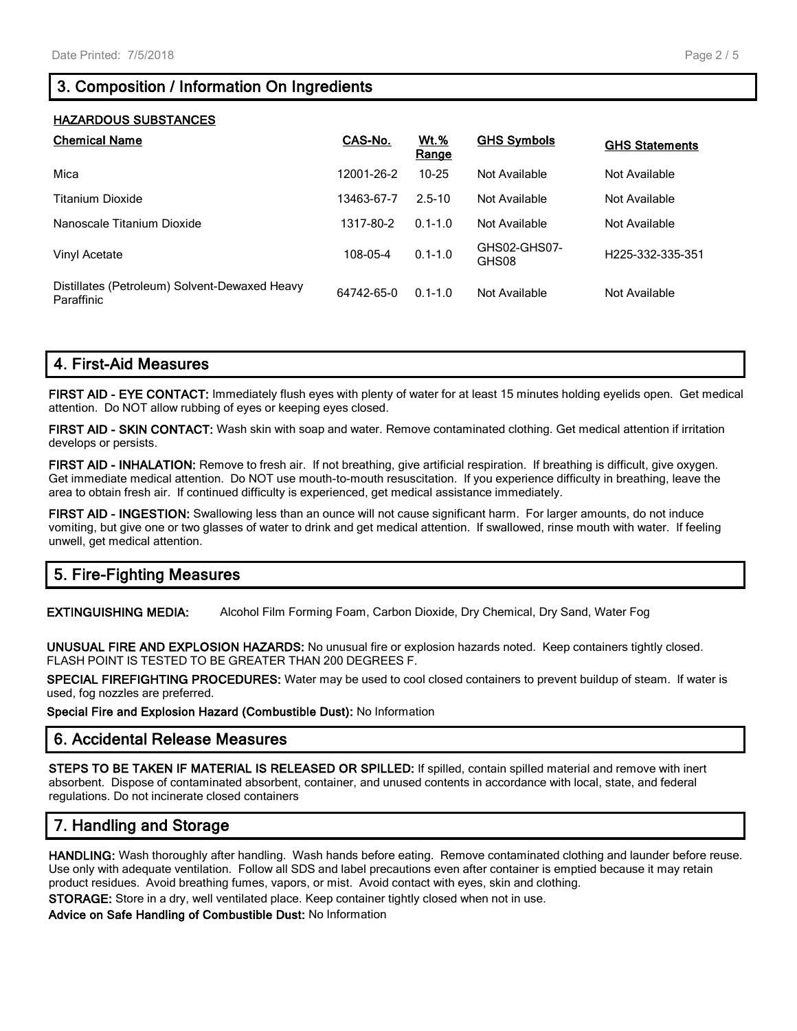# **3. Composition / Information On Ingredients**

#### **HAZARDOUS SUBSTANCES**

| <b>Chemical Name</b>                                        | CAS-No.    | <b>Wt.%</b><br>Range | <b>GHS Symbols</b>    | <b>GHS Statements</b>         |
|-------------------------------------------------------------|------------|----------------------|-----------------------|-------------------------------|
| Mica                                                        | 12001-26-2 | $10 - 25$            | Not Available         | Not Available                 |
| Titanium Dioxide                                            | 13463-67-7 | $2.5 - 10$           | Not Available         | Not Available                 |
| Nanoscale Titanium Dioxide                                  | 1317-80-2  | $0.1 - 1.0$          | Not Available         | Not Available                 |
| Vinyl Acetate                                               | 108-05-4   | $0.1 - 1.0$          | GHS02-GHS07-<br>GHS08 | H <sub>225</sub> -332-335-351 |
| Distillates (Petroleum) Solvent-Dewaxed Heavy<br>Paraffinic | 64742-65-0 | $0.1 - 1.0$          | Not Available         | Not Available                 |

# **4. First-Aid Measures**

**FIRST AID - EYE CONTACT:** Immediately flush eyes with plenty of water for at least 15 minutes holding eyelids open. Get medical attention. Do NOT allow rubbing of eyes or keeping eyes closed.

**FIRST AID - SKIN CONTACT:** Wash skin with soap and water. Remove contaminated clothing. Get medical attention if irritation develops or persists.

**FIRST AID - INHALATION:** Remove to fresh air. If not breathing, give artificial respiration. If breathing is difficult, give oxygen. Get immediate medical attention. Do NOT use mouth-to-mouth resuscitation. If you experience difficulty in breathing, leave the area to obtain fresh air. If continued difficulty is experienced, get medical assistance immediately.

**FIRST AID - INGESTION:** Swallowing less than an ounce will not cause significant harm. For larger amounts, do not induce vomiting, but give one or two glasses of water to drink and get medical attention. If swallowed, rinse mouth with water. If feeling unwell, get medical attention.

# **5. Fire-Fighting Measures**

**EXTINGUISHING MEDIA:** Alcohol Film Forming Foam, Carbon Dioxide, Dry Chemical, Dry Sand, Water Fog

**UNUSUAL FIRE AND EXPLOSION HAZARDS:** No unusual fire or explosion hazards noted. Keep containers tightly closed. FLASH POINT IS TESTED TO BE GREATER THAN 200 DEGREES F.

**SPECIAL FIREFIGHTING PROCEDURES:** Water may be used to cool closed containers to prevent buildup of steam. If water is used, fog nozzles are preferred.

**Special Fire and Explosion Hazard (Combustible Dust):** No Information

## **6. Accidental Release Measures**

**STEPS TO BE TAKEN IF MATERIAL IS RELEASED OR SPILLED:** If spilled, contain spilled material and remove with inert absorbent. Dispose of contaminated absorbent, container, and unused contents in accordance with local, state, and federal regulations. Do not incinerate closed containers

# **7. Handling and Storage**

**HANDLING:** Wash thoroughly after handling. Wash hands before eating. Remove contaminated clothing and launder before reuse. Use only with adequate ventilation. Follow all SDS and label precautions even after container is emptied because it may retain product residues. Avoid breathing fumes, vapors, or mist. Avoid contact with eyes, skin and clothing.

**STORAGE:** Store in a dry, well ventilated place. Keep container tightly closed when not in use.

#### **Advice on Safe Handling of Combustible Dust:** No Information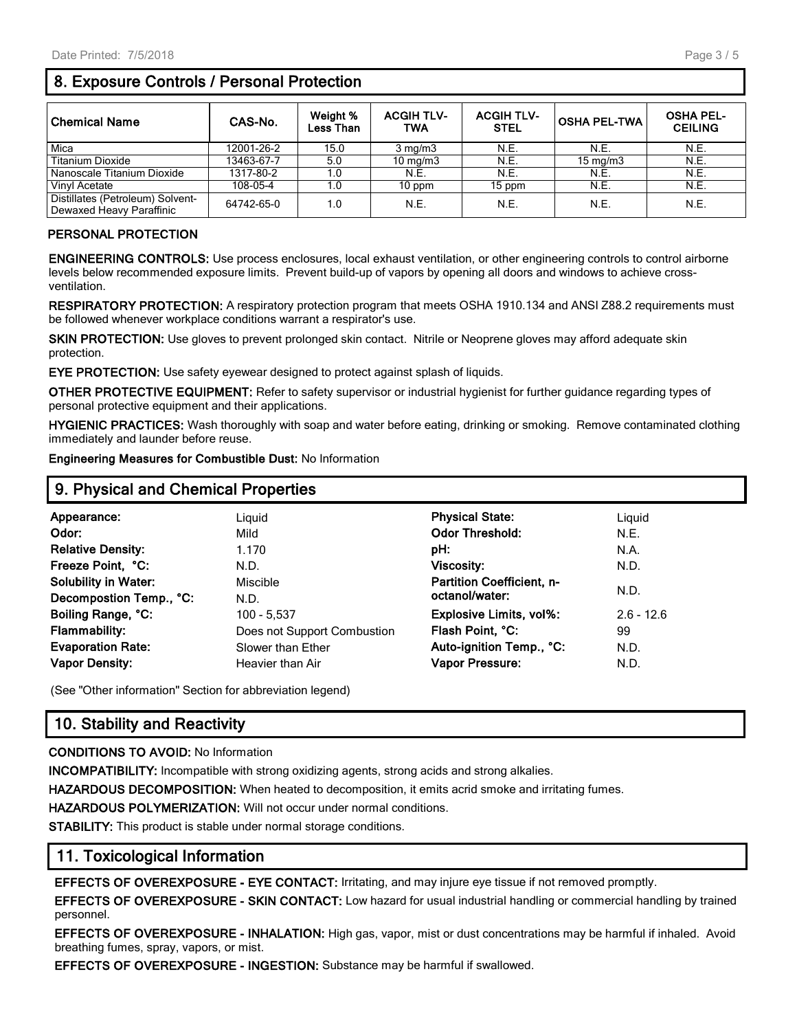#### Page 3 / 5

# **8. Exposure Controls / Personal Protection**

| Chemical Name                                                | CAS-No.    | Weight %<br><b>Less Than</b> | <b>ACGIH TLV-</b><br><b>TWA</b> | <b>ACGIH TLV-</b><br><b>STEL</b> | <b>OSHA PEL-TWA</b> | <b>OSHA PEL-</b><br><b>CEILING</b> |
|--------------------------------------------------------------|------------|------------------------------|---------------------------------|----------------------------------|---------------------|------------------------------------|
| Mica                                                         | 12001-26-2 | 15.0                         | $3 \text{ mg/m}$                | N.E.                             | N.E.                | N.E.                               |
| <b>Titanium Dioxide</b>                                      | 13463-67-7 | 5.0                          | 10 $mq/m3$                      | N.E.                             | $15 \text{ mg/m}$   | N.E.                               |
| Nanoscale Titanium Dioxide                                   | 1317-80-2  | 1.0                          | N.E.                            | N.E.                             | N.E.                | N.E.                               |
| Vinyl Acetate                                                | 108-05-4   | 1.0                          | $10$ ppm                        | 15 ppm                           | N.E.                | N.E.                               |
| Distillates (Petroleum) Solvent-<br>Dewaxed Heavy Paraffinic | 64742-65-0 | 1.0                          | N.E.                            | N.E.                             | N.E.                | N.E.                               |

#### **PERSONAL PROTECTION**

**ENGINEERING CONTROLS:** Use process enclosures, local exhaust ventilation, or other engineering controls to control airborne levels below recommended exposure limits. Prevent build-up of vapors by opening all doors and windows to achieve crossventilation.

**RESPIRATORY PROTECTION:** A respiratory protection program that meets OSHA 1910.134 and ANSI Z88.2 requirements must be followed whenever workplace conditions warrant a respirator's use.

**SKIN PROTECTION:** Use gloves to prevent prolonged skin contact. Nitrile or Neoprene gloves may afford adequate skin protection.

**EYE PROTECTION:** Use safety eyewear designed to protect against splash of liquids.

**OTHER PROTECTIVE EQUIPMENT:** Refer to safety supervisor or industrial hygienist for further guidance regarding types of personal protective equipment and their applications.

**HYGIENIC PRACTICES:** Wash thoroughly with soap and water before eating, drinking or smoking. Remove contaminated clothing immediately and launder before reuse.

**Engineering Measures for Combustible Dust:** No Information

| 9. Physical and Chemical Properties |                             |                                  |              |  |  |  |
|-------------------------------------|-----------------------------|----------------------------------|--------------|--|--|--|
| Appearance:                         | Liguid                      | <b>Physical State:</b>           | Liquid       |  |  |  |
| Odor:                               | Mild                        | <b>Odor Threshold:</b>           | N.E.         |  |  |  |
| <b>Relative Density:</b>            | 1.170                       | pH:                              | N.A.         |  |  |  |
| Freeze Point, °C:                   | N.D.                        | <b>Viscosity:</b>                | N.D.         |  |  |  |
| <b>Solubility in Water:</b>         | Miscible                    | <b>Partition Coefficient, n-</b> |              |  |  |  |
| Decompostion Temp., °C:             | N.D.                        | octanol/water:                   | N.D.         |  |  |  |
| Boiling Range, °C:                  | 100 - 5,537                 | Explosive Limits, vol%:          | $2.6 - 12.6$ |  |  |  |
| <b>Flammability:</b>                | Does not Support Combustion | Flash Point, °C:                 | 99           |  |  |  |
| <b>Evaporation Rate:</b>            | Slower than Ether           | Auto-ignition Temp., °C:         | N.D.         |  |  |  |
| <b>Vapor Density:</b>               | Heavier than Air            | <b>Vapor Pressure:</b>           | N.D.         |  |  |  |

(See "Other information" Section for abbreviation legend)

## **10. Stability and Reactivity**

#### **CONDITIONS TO AVOID:** No Information

**INCOMPATIBILITY:** Incompatible with strong oxidizing agents, strong acids and strong alkalies.

**HAZARDOUS DECOMPOSITION:** When heated to decomposition, it emits acrid smoke and irritating fumes.

**HAZARDOUS POLYMERIZATION:** Will not occur under normal conditions.

**STABILITY:** This product is stable under normal storage conditions.

## **11. Toxicological Information**

**EFFECTS OF OVEREXPOSURE - EYE CONTACT:** Irritating, and may injure eye tissue if not removed promptly.

**EFFECTS OF OVEREXPOSURE - SKIN CONTACT:** Low hazard for usual industrial handling or commercial handling by trained personnel.

**EFFECTS OF OVEREXPOSURE - INHALATION:** High gas, vapor, mist or dust concentrations may be harmful if inhaled. Avoid breathing fumes, spray, vapors, or mist.

**EFFECTS OF OVEREXPOSURE - INGESTION:** Substance may be harmful if swallowed.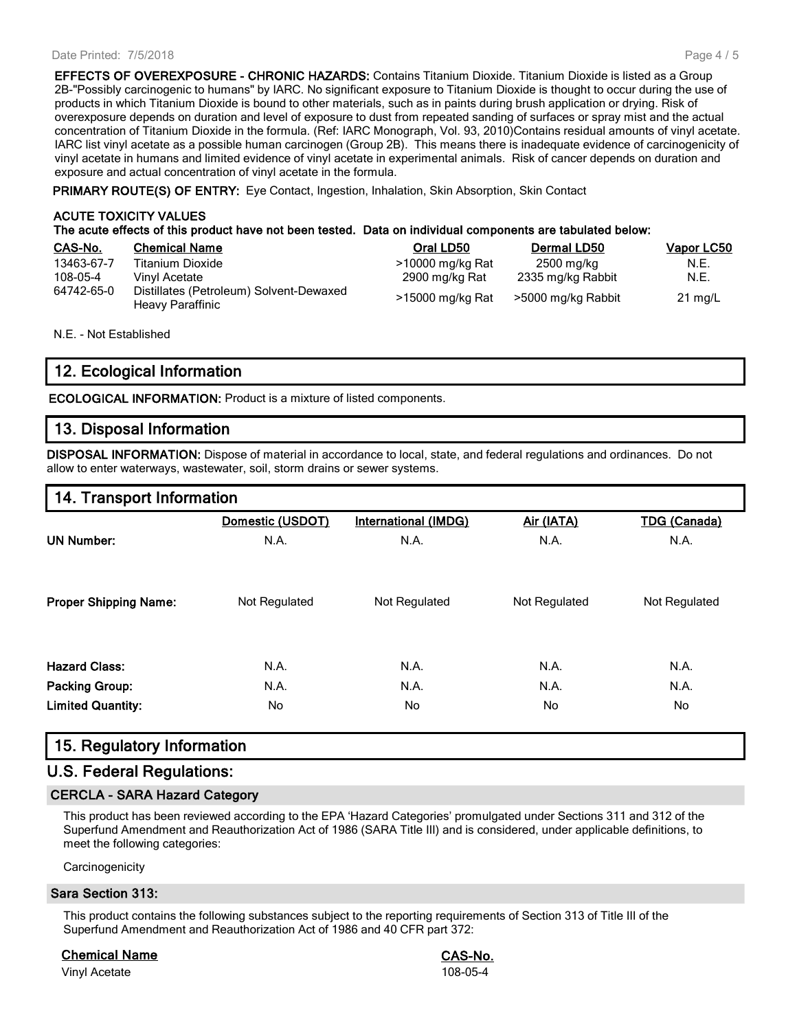#### Date Printed: 7/5/2018

**EFFECTS OF OVEREXPOSURE - CHRONIC HAZARDS:** Contains Titanium Dioxide. Titanium Dioxide is listed as a Group 2B-"Possibly carcinogenic to humans" by IARC. No significant exposure to Titanium Dioxide is thought to occur during the use of products in which Titanium Dioxide is bound to other materials, such as in paints during brush application or drying. Risk of overexposure depends on duration and level of exposure to dust from repeated sanding of surfaces or spray mist and the actual concentration of Titanium Dioxide in the formula. (Ref: IARC Monograph, Vol. 93, 2010)Contains residual amounts of vinyl acetate. IARC list vinyl acetate as a possible human carcinogen (Group 2B). This means there is inadequate evidence of carcinogenicity of vinyl acetate in humans and limited evidence of vinyl acetate in experimental animals. Risk of cancer depends on duration and exposure and actual concentration of vinyl acetate in the formula.

**PRIMARY ROUTE(S) OF ENTRY:** Eye Contact, Ingestion, Inhalation, Skin Absorption, Skin Contact

#### **ACUTE TOXICITY VALUES The acute effects of this product have not been tested. Data on individual components are tabulated below:**

| CAS-No.    | <b>Chemical Name</b>                                        | Oral LD50        | Dermal LD50        | Vapor LC50        |
|------------|-------------------------------------------------------------|------------------|--------------------|-------------------|
| 13463-67-7 | Titanium Dioxide                                            | >10000 mg/kg Rat | 2500 mg/kg         | N.E.              |
| 108-05-4   | Vinvl Acetate                                               | 2900 mg/kg Rat   | 2335 mg/kg Rabbit  | N.E.              |
| 64742-65-0 | Distillates (Petroleum) Solvent-Dewaxed<br>Heavy Paraffinic | >15000 mg/kg Rat | >5000 mg/kg Rabbit | $21 \text{ mg/L}$ |

N.E. - Not Established

# **12. Ecological Information**

**ECOLOGICAL INFORMATION:** Product is a mixture of listed components.

## **13. Disposal Information**

**DISPOSAL INFORMATION:** Dispose of material in accordance to local, state, and federal regulations and ordinances. Do not allow to enter waterways, wastewater, soil, storm drains or sewer systems.

## **14. Transport Information**

|                              | Domestic (USDOT) | <b>International (IMDG)</b> | Air (IATA)    | <b>TDG (Canada)</b> |
|------------------------------|------------------|-----------------------------|---------------|---------------------|
| <b>UN Number:</b>            | N.A.             | N.A.                        | N.A.          | N.A.                |
| <b>Proper Shipping Name:</b> | Not Regulated    | Not Regulated               | Not Regulated | Not Regulated       |
| <b>Hazard Class:</b>         | N.A.             | N.A.                        | N.A.          | N.A.                |
| <b>Packing Group:</b>        | N.A.             | N.A.                        | N.A.          | N.A.                |
| <b>Limited Quantity:</b>     | No.              | No.                         | No.           | No.                 |

## **15. Regulatory Information**

## **U.S. Federal Regulations:**

#### **CERCLA - SARA Hazard Category**

This product has been reviewed according to the EPA 'Hazard Categories' promulgated under Sections 311 and 312 of the Superfund Amendment and Reauthorization Act of 1986 (SARA Title III) and is considered, under applicable definitions, to meet the following categories:

**Carcinogenicity** 

#### **Sara Section 313:**

This product contains the following substances subject to the reporting requirements of Section 313 of Title III of the Superfund Amendment and Reauthorization Act of 1986 and 40 CFR part 372:

**Chemical Name CAS-No.**

Vinyl Acetate 108-05-4